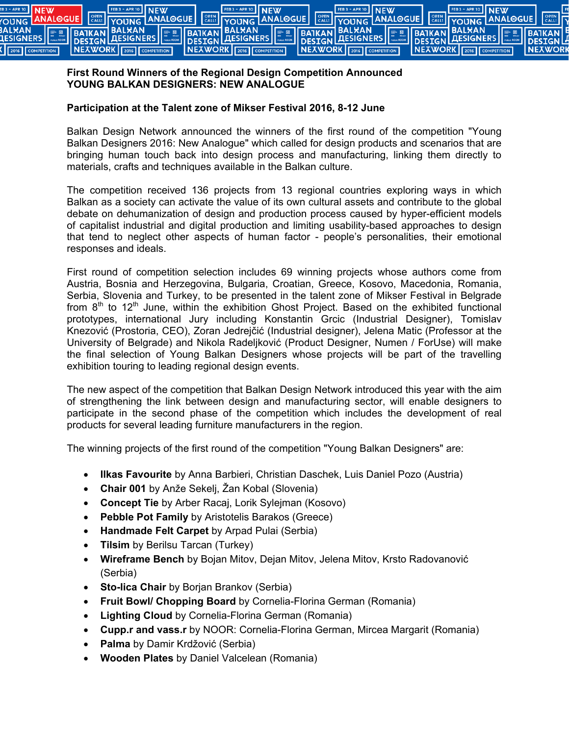

## **First Round Winners of the Regional Design Competition Announced YOUNG BALKAN DESIGNERS: NEW ANALOGUE**

## **Participation at the Talent zone of Mikser Festival 2016, 8-12 June**

Balkan Design Network announced the winners of the first round of the competition "Young Balkan Designers 2016: New Analogue" which called for design products and scenarios that are bringing human touch back into design process and manufacturing, linking them directly to materials, crafts and techniques available in the Balkan culture.

The competition received 136 projects from 13 regional countries exploring ways in which Balkan as a society can activate the value of its own cultural assets and contribute to the global debate on dehumanization of design and production process caused by hyper-efficient models of capitalist industrial and digital production and limiting usability-based approaches to design that tend to neglect other aspects of human factor - people's personalities, their emotional responses and ideals.

First round of competition selection includes 69 winning projects whose authors come from Austria, Bosnia and Herzegovina, Bulgaria, Croatian, Greece, Kosovo, Macedonia, Romania, Serbia, Slovenia and Turkey, to be presented in the talent zone of Mikser Festival in Belgrade from  $8<sup>th</sup>$  to 12<sup>th</sup> June, within the exhibition Ghost Project. Based on the exhibited functional prototypes, international Jury including Konstantin Grcic (Industrial Designer), Tomislav Knezović (Prostoria, CEO), Zoran Jedrejčić (Industrial designer), Jelena Matic (Professor at the University of Belgrade) and Nikola Radeljković (Product Designer, Numen / ForUse) will make the final selection of Young Balkan Designers whose projects will be part of the travelling exhibition touring to leading regional design events.

The new aspect of the competition that Balkan Design Network introduced this year with the aim of strengthening the link between design and manufacturing sector, will enable designers to participate in the second phase of the competition which includes the development of real products for several leading furniture manufacturers in the region.

The winning projects of the first round of the competition "Young Balkan Designers" are:

- **Ilkas Favourite** by Anna Barbieri, Christian Daschek, Luis Daniel Pozo (Austria)
- **Chair 001** by Anže Sekelj, Žan Kobal (Slovenia)
- **Concept Tie** by Arber Racaj, Lorik Sylejman (Kosovo)
- **Pebble Pot Family** by Aristotelis Barakos (Greece)
- **Handmade Felt Carpet** by Arpad Pulai (Serbia)
- **Tilsim** by Berilsu Tarcan (Turkey)
- **Wireframe Bench** by Bojan Mitov, Dejan Mitov, Jelena Mitov, Krsto Radovanović (Serbia)
- **Sto-lica Chair** by Borjan Brankov (Serbia)
- **Fruit Bowl/ Chopping Board** by Cornelia-Florina German (Romania)
- **Lighting Cloud** by Cornelia-Florina German (Romania)
- **Cupp.r and vass.r** by NOOR: Cornelia-Florina German, Mircea Margarit (Romania)
- **Palma** by Damir Krdžović (Serbia)
- **Wooden Plates** by Daniel Valcelean (Romania)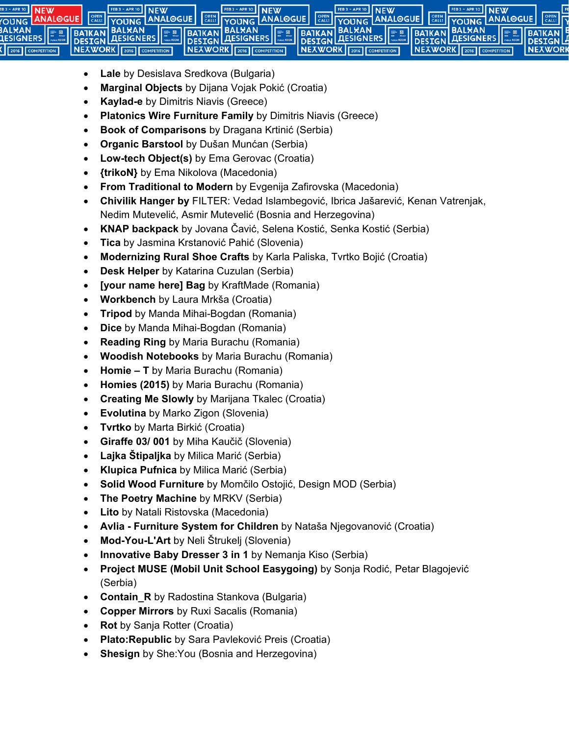

- **Lale** by Desislava Sredkova (Bulgaria)
- **Marginal Objects** by Dijana Vojak Pokić (Croatia)
- **Kaylad-e** by Dimitris Niavis (Greece)
- **Platonics Wire Furniture Family** by Dimitris Niavis (Greece)
- **Book of Comparisons** by Dragana Krtinić (Serbia)
- **Organic Barstool** by Dušan Munćan (Serbia)
- **Low-tech Object(s)** by Ema Gerovac (Croatia)
- **{trikoN}** by Ema Nikolova (Macedonia)
- **From Traditional to Modern** by Evgenija Zafirovska (Macedonia)
- **Chivilik Hanger by** FILTER: Vedad Islambegović, Ibrica Jašarević, Kenan Vatrenjak, Nedim Mutevelić, Asmir Mutevelić (Bosnia and Herzegovina)
- **KNAP backpack** by Jovana Čavić, Selena Kostić, Senka Kostić (Serbia)
- **Tica** by Jasmina Krstanović Pahić (Slovenia)
- **Modernizing Rural Shoe Crafts** by Karla Paliska, Tvrtko Bojić (Croatia)
- **Desk Helper** by Katarina Cuzulan (Serbia)
- **[your name here] Bag** by KraftMade (Romania)
- **Workbench** by Laura Mrkša (Croatia)
- **Tripod** by Manda Mihai-Bogdan (Romania)
- **Dice** by Manda Mihai-Bogdan (Romania)
- **Reading Ring** by Maria Burachu (Romania)
- **Woodish Notebooks** by Maria Burachu (Romania)
- **Homie T** by Maria Burachu (Romania)
- **Homies (2015)** by Maria Burachu (Romania)
- **Creating Me Slowly** by Marijana Tkalec (Croatia)
- **Evolutina** by Marko Zigon (Slovenia)
- **Tvrtko** by Marta Birkić (Croatia)
- **Giraffe 03/ 001** by Miha Kaučič (Slovenia)
- **Lajka Štipaljka** by Milica Marić (Serbia)
- **Klupica Pufnica** by Milica Marić (Serbia)
- **Solid Wood Furniture** by Momčilo Ostojić, Design MOD (Serbia)
- **The Poetry Machine** by MRKV (Serbia)
- **Lito** by Natali Ristovska (Macedonia)
- **Avlia Furniture System for Children** by Nataša Njegovanović (Croatia)
- **Mod-You-L'Art** by Neli Štrukelj (Slovenia)
- **Innovative Baby Dresser 3 in 1** by Nemanja Kiso (Serbia)
- **Project MUSE (Mobil Unit School Easygoing)** by Sonja Rodić, Petar Blagojević (Serbia)
- **Contain\_R** by Radostina Stankova (Bulgaria)
- **Copper Mirrors** by Ruxi Sacalis (Romania)
- **Rot** by Sanja Rotter (Croatia)
- **Plato:Republic** by Sara Pavleković Preis (Croatia)
- **Shesign** by She:You (Bosnia and Herzegovina)